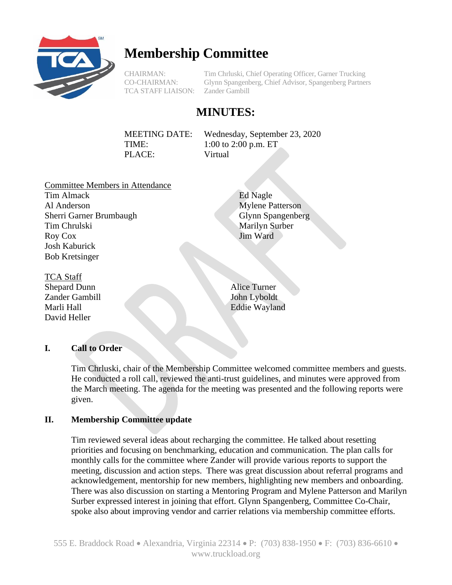

# **Membership Committee**

TCA STAFF LIAISON: Zander Gambill

CHAIRMAN: Tim Chrluski, Chief Operating Officer, Garner Trucking CO-CHAIRMAN: Glynn Spangenberg, Chief Advisor, Spangenberg Partners

## **MINUTES:**

MEETING DATE: Wednesday, September 23, 2020 TIME: 1:00 to 2:00 p.m. ET PLACE: Virtual

Committee Members in Attendance Tim Almack Al Anderson Sherri Garner Brumbaugh Tim Chrulski Roy Cox Josh Kaburick

Bob Kretsinger TCA Staff Shepard Dunn Alice Turner Zander Gambill John Lyboldt

David Heller

Glynn Spangenberg Marilyn Surber Jim Ward

Mylene Patterson

Marli Hall Eddie Wayland

Ed Nagle

### **I. Call to Order**

Tim Chrluski, chair of the Membership Committee welcomed committee members and guests. He conducted a roll call, reviewed the anti-trust guidelines, and minutes were approved from the March meeting. The agenda for the meeting was presented and the following reports were given.

#### **II. Membership Committee update**

Tim reviewed several ideas about recharging the committee. He talked about resetting priorities and focusing on benchmarking, education and communication. The plan calls for monthly calls for the committee where Zander will provide various reports to support the meeting, discussion and action steps. There was great discussion about referral programs and acknowledgement, mentorship for new members, highlighting new members and onboarding. There was also discussion on starting a Mentoring Program and Mylene Patterson and Marilyn Surber expressed interest in joining that effort. Glynn Spangenberg, Committee Co-Chair, spoke also about improving vendor and carrier relations via membership committee efforts.